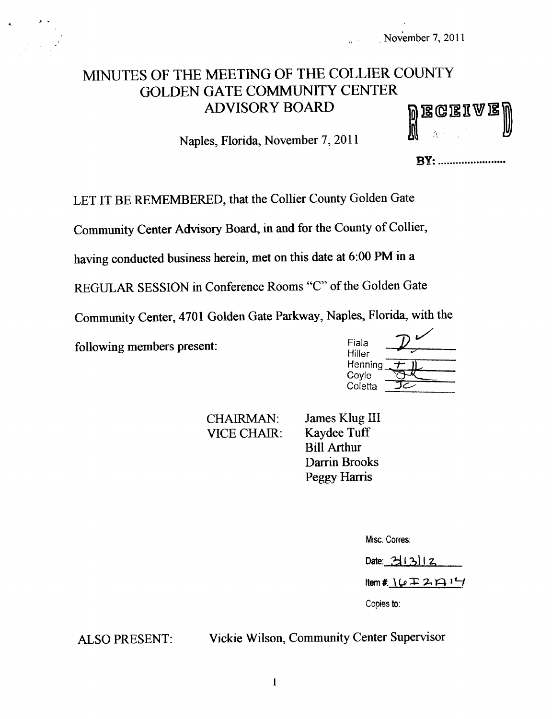# MINUTES OF THE MEETING OF THE COLLIER COUNTY GOLDEN GATE COMMUNITY CENTER ADVISORY BOARD

Naples, Florida, November 7, 2011

|  |  | <b>Megeiae)</b><br>U |
|--|--|----------------------|
|  |  |                      |

**BY:** .........................

LET IT BE REMEMBERED, that the Collier County Golden Gate

Community Center Advisory Board, in and for the County of Collier,

having conducted business herein, met on this date at 6:00 PM in a

REGULAR SESSION in Conference Rooms "C" of the Golden Gate

Community Center, 4701 Golden Gate Parkway, Naples, Florida, with the<br>c  $\eta$ 

following members present:

| Fiala   |  |
|---------|--|
| Hiller  |  |
| Henning |  |
| Coyle   |  |
| Coletta |  |

VICE CHAIR:

CHAIRMAN: James Klug III<br>VICE CHAIR: Kaydee Tuff Bill Arthur Darrin Brooks Peggy Harris

Misc. Corres:

Date:  $31312$ 

 $Item 1: 16 127 141$ 

Copies to:

ALSO PRESENT: Vickie Wilson, Community Center Supervisor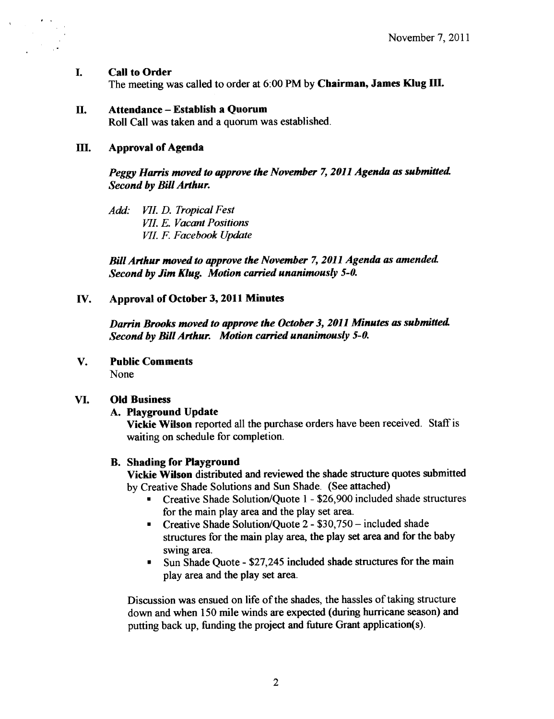#### I. Call to Order

The meeting was called to order at 6:00 PM by Chairman, James Klug III.

### II. Attendance—Establish <sup>a</sup> Quorum

Roll Call was taken and a quorum was established.

### III. Approval of Agenda

Peggy Harris moved to approve the November 7, 2011 Agenda as submitted Second by Bill Arthur.

Add: VII. D. Tropical Fest VII. E. Vacant Positions VII. F. Facebook Update

Bill Arthur moved to approve the November 7, 2011 Agenda as amended. Second by Jim Klug. Motion carried unanimously 5-0.

# IV. Approval of October 3, 2011 Minutes

Darrin Brooks moved to approve the October 3, 2011 Minutes as submitted. Second by Bill Arthur. Motion carried unanimously 5-0.

# V. Public Comments

None

# VI. Old Business

# A. Playground Update

Vickie Wilson reported all the purchase orders have been received. Staff is waiting on schedule for completion.

# B. Shading for Playground

Vickie Wilson distributed and reviewed the shade structure quotes submitted by Creative Shade Solutions and Sun Shade. ( See attached)

- Creative Shade Solution/Quote 1 \$26,900 included shade structures for the main play area and the play set area.
- Creative Shade Solution/Quote 2 \$30,750 included shade structures for the main play area, the play set area and for the baby swing area.
- Sun Shade Quote \$27,245 included shade structures for the main play area and the play set area.

Discussion was ensued on life of the shades, the hassles of taking structure down and when 150 mile winds are expected (during hurricane season) and putting back up, funding the project and future Grant application(s).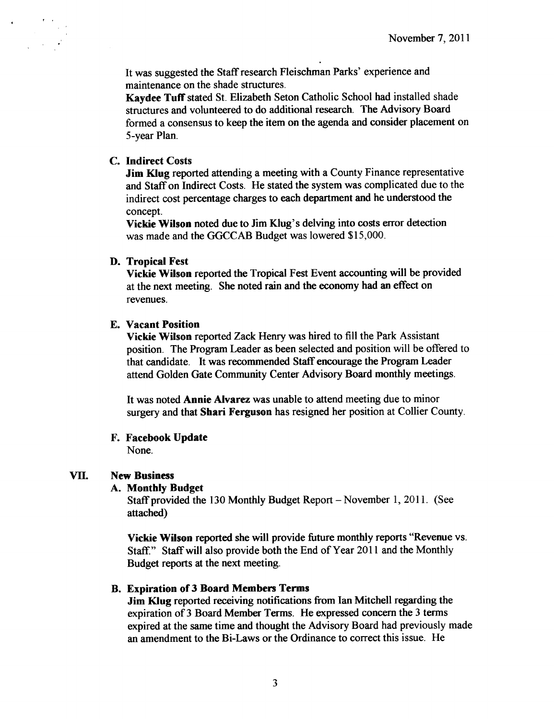It was suggested the Staff research Fleischman Parks' experience and maintenance on the shade structures.

Kaydee Tuff stated St. Elizabeth Seton Catholic School had installed shade structures and volunteered to do additional research. The Advisory Board formed a consensus to keep the item on the agenda and consider placement on 5- year Plan.

### C. Indirect Costs

Jim Klug reported attending a meeting with a County Finance representative and Staff on Indirect Costs. He stated the system was complicated due to the indirect cost percentage charges to each department and he understood the concept.

Vickie Wilson noted due to Jim Klug's delving into costs error detection was made and the GGCCAB Budget was lowered \$15,000.

#### D. Tropical Fest

Vickie Wilson reported the Tropical Fest Event accounting will be provided at the next meeting. She noted rain and the economy had an effect on revenues.

### E. Vacant Position

Vickie Wilson reported Zack Henry was hired to fill the Park Assistant position. The Program Leader as been selected and position will be offered to that candidate. It was recommended Staff encourage the Program Leader attend Golden Gate Community Center Advisory Board monthly meetings.

It was noted Annie Alvarez was unable to attend meeting due to minor surgery and that Shari Ferguson has resigned her position at Collier County.

# F. Facebook Update

None.

# VII. New Business

#### A. Monthly Budget

Staff provided the <sup>130</sup> Monthly Budget Report—November 1, 2011. ( See attached)

Vickie Wilson reported she will provide future monthly reports "Revenue vs. Staff." Staff will also provide both the End of Year 2011 and the Monthly Budget reports at the next meeting.

#### B. Expiration of 3 Board Members Terms

Jim Klug reported receiving notifications from Ian Mitchell regarding the expiration of <sup>3</sup> Board Member Terms. He expressed concern the <sup>3</sup> terms expired at the same time and thought the Advisory Board had previously made an amendment to the Bi-Laws or the Ordinance to correct this issue. He